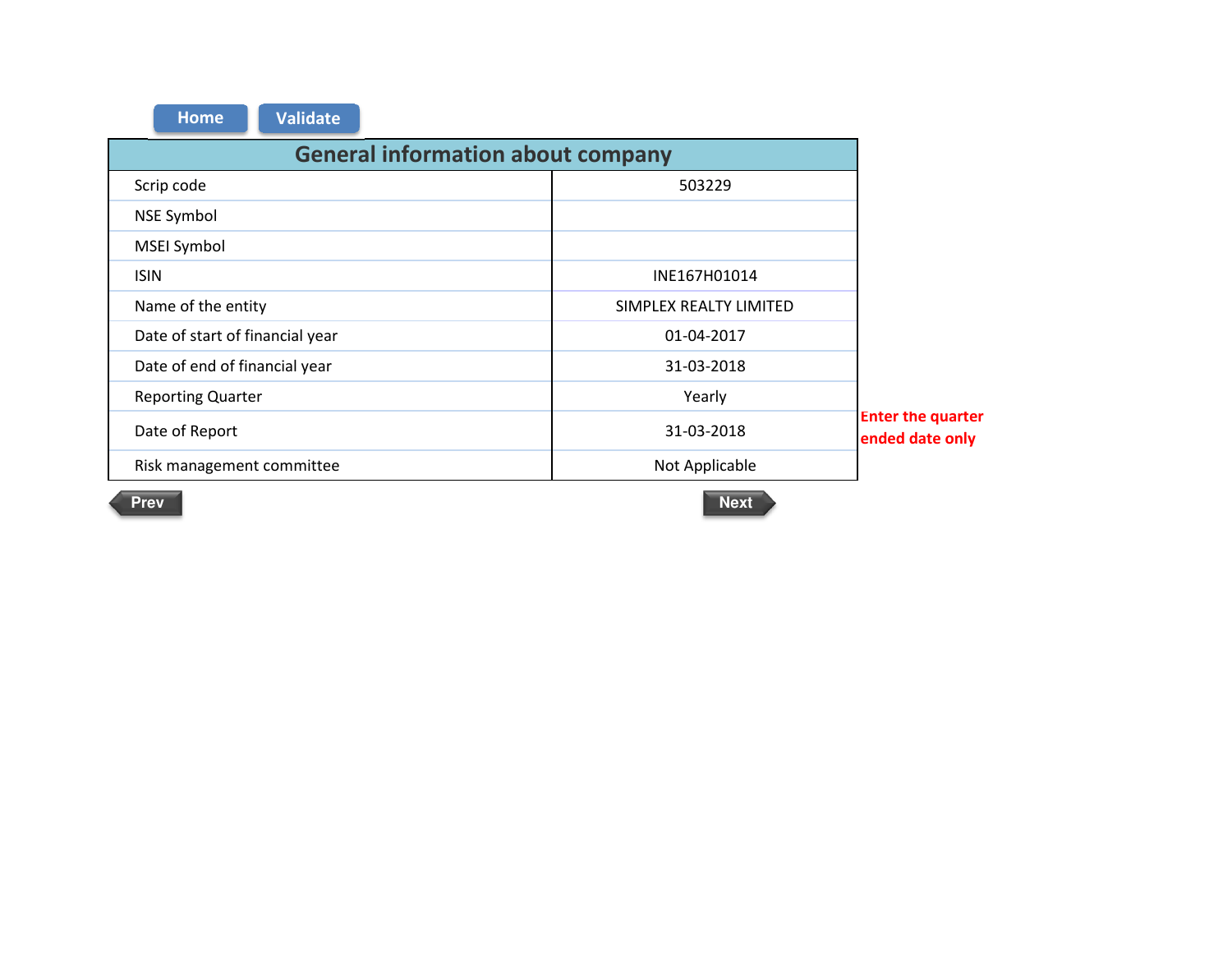| <b>Validate</b><br><b>Home</b>           |                        |                                             |  |  |  |  |  |  |  |
|------------------------------------------|------------------------|---------------------------------------------|--|--|--|--|--|--|--|
| <b>General information about company</b> |                        |                                             |  |  |  |  |  |  |  |
| Scrip code<br>503229                     |                        |                                             |  |  |  |  |  |  |  |
| <b>NSE Symbol</b>                        |                        |                                             |  |  |  |  |  |  |  |
| MSEI Symbol                              |                        |                                             |  |  |  |  |  |  |  |
| <b>ISIN</b>                              | INE167H01014           |                                             |  |  |  |  |  |  |  |
| Name of the entity                       | SIMPLEX REALTY LIMITED |                                             |  |  |  |  |  |  |  |
| Date of start of financial year          | 01-04-2017             |                                             |  |  |  |  |  |  |  |
| Date of end of financial year            | 31-03-2018             |                                             |  |  |  |  |  |  |  |
| <b>Reporting Quarter</b>                 | Yearly                 |                                             |  |  |  |  |  |  |  |
| Date of Report                           | 31-03-2018             | <b>Enter the quarter</b><br>ended date only |  |  |  |  |  |  |  |
| Risk management committee                | Not Applicable         |                                             |  |  |  |  |  |  |  |
|                                          |                        |                                             |  |  |  |  |  |  |  |

Prev Next **Next and American Control**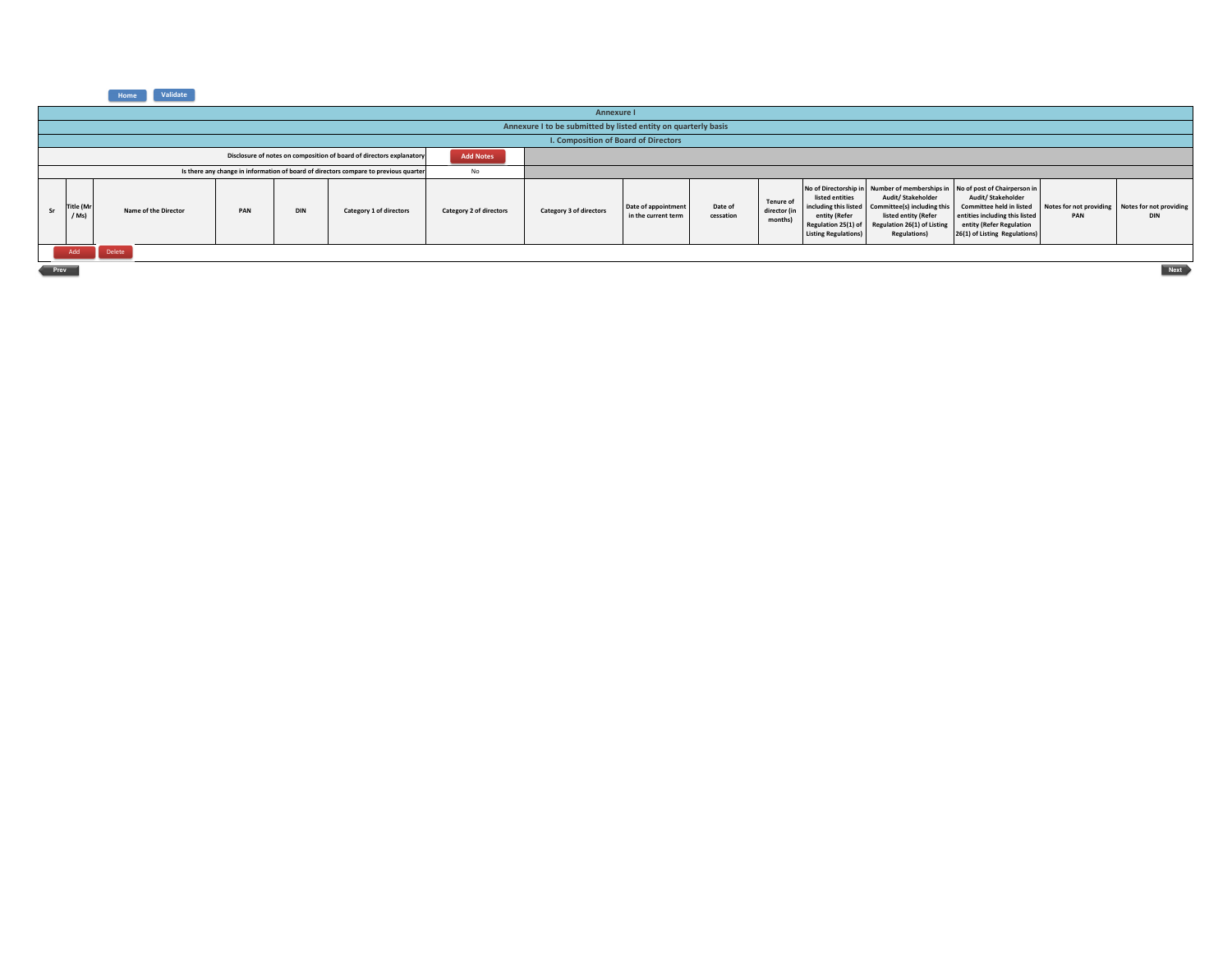**Home Validate** 

|      | Annexure I                                                                               |                      |     |            |                                                                                      |                         |                                      |                                            |                      |                                             |                                                                                                                 |                                                                                                                                |                                                                                                                                                                                                                              |                                                        |            |
|------|------------------------------------------------------------------------------------------|----------------------|-----|------------|--------------------------------------------------------------------------------------|-------------------------|--------------------------------------|--------------------------------------------|----------------------|---------------------------------------------|-----------------------------------------------------------------------------------------------------------------|--------------------------------------------------------------------------------------------------------------------------------|------------------------------------------------------------------------------------------------------------------------------------------------------------------------------------------------------------------------------|--------------------------------------------------------|------------|
|      | Annexure I to be submitted by listed entity on quarterly basis                           |                      |     |            |                                                                                      |                         |                                      |                                            |                      |                                             |                                                                                                                 |                                                                                                                                |                                                                                                                                                                                                                              |                                                        |            |
|      |                                                                                          |                      |     |            |                                                                                      |                         | I. Composition of Board of Directors |                                            |                      |                                             |                                                                                                                 |                                                                                                                                |                                                                                                                                                                                                                              |                                                        |            |
|      | Disclosure of notes on composition of board of directors explanatory<br><b>Add Notes</b> |                      |     |            |                                                                                      |                         |                                      |                                            |                      |                                             |                                                                                                                 |                                                                                                                                |                                                                                                                                                                                                                              |                                                        |            |
|      |                                                                                          |                      |     |            | Is there any change in information of board of directors compare to previous quarter | No                      |                                      |                                            |                      |                                             |                                                                                                                 |                                                                                                                                |                                                                                                                                                                                                                              |                                                        |            |
|      | Title (Mr<br>$/$ Ms                                                                      | Name of the Director | PAN | <b>DIN</b> | Category 1 of directors                                                              | Category 2 of directors | Category 3 of directors              | Date of appointment<br>in the current term | Date of<br>cessation | <b>Tenure of</b><br>director (in<br>months) | listed entities<br>including this listed<br>entity (Refer<br>Regulation 25(1) of<br><b>Listing Regulations)</b> | Audit/Stakeholder<br>Committee(s) including this<br>listed entity (Refer<br>Regulation 26(1) of Listing<br><b>Regulations)</b> | No of Directorship in Number of memberships in No of post of Chairperson in<br>Audit/ Stakeholder<br>Committee held in listed<br>entities including this listed<br>entity (Refer Regulation<br>26(1) of Listing Regulations) | Notes for not providing Notes for not providing<br>PAN | <b>DIN</b> |
|      | Add                                                                                      | Delete               |     |            |                                                                                      |                         |                                      |                                            |                      |                                             |                                                                                                                 |                                                                                                                                |                                                                                                                                                                                                                              |                                                        |            |
| Prev | <b>Next</b>                                                                              |                      |     |            |                                                                                      |                         |                                      |                                            |                      |                                             |                                                                                                                 |                                                                                                                                |                                                                                                                                                                                                                              |                                                        |            |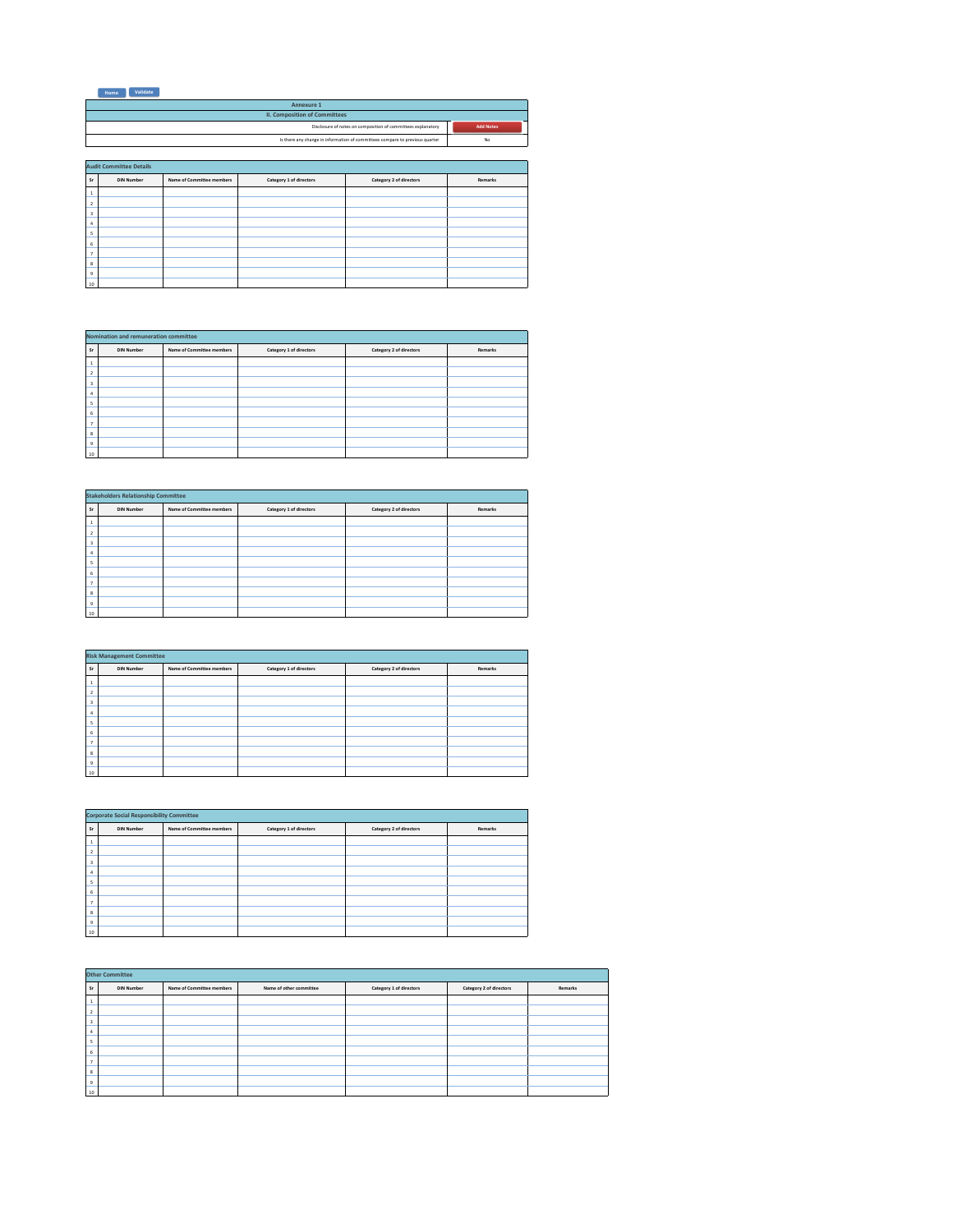| Validate<br>Home |  |
|------------------|--|
|------------------|--|

|                  | Annexure 1                                                                   |
|------------------|------------------------------------------------------------------------------|
|                  | <b>II. Composition of Committees</b>                                         |
| <b>Add Notes</b> | Disclosure of notes on composition of committees explanatory                 |
| No               | Is there any change in information of committees compare to previous quarter |
|                  |                                                                              |

|                         | <b>Audit Committee Details</b> |                           |                         |                         |         |  |  |  |  |  |
|-------------------------|--------------------------------|---------------------------|-------------------------|-------------------------|---------|--|--|--|--|--|
| <b>Sr</b>               | <b>DIN Number</b>              | Name of Committee members | Category 1 of directors | Category 2 of directors | Remarks |  |  |  |  |  |
| 1                       |                                |                           |                         |                         |         |  |  |  |  |  |
| $\overline{2}$          |                                |                           |                         |                         |         |  |  |  |  |  |
| $\overline{\mathbf{3}}$ |                                |                           |                         |                         |         |  |  |  |  |  |
| 4                       |                                |                           |                         |                         |         |  |  |  |  |  |
| s                       |                                |                           |                         |                         |         |  |  |  |  |  |
| 6                       |                                |                           |                         |                         |         |  |  |  |  |  |
| $\overline{7}$          |                                |                           |                         |                         |         |  |  |  |  |  |
| 8                       |                                |                           |                         |                         |         |  |  |  |  |  |
| $\overline{9}$          |                                |                           |                         |                         |         |  |  |  |  |  |
| 10                      |                                |                           |                         |                         |         |  |  |  |  |  |

|                | Nomination and remuneration committee |                           |                         |                         |         |  |  |  |  |  |
|----------------|---------------------------------------|---------------------------|-------------------------|-------------------------|---------|--|--|--|--|--|
| <b>Sr</b>      | <b>DIN Number</b>                     | Name of Committee members | Category 1 of directors | Category 2 of directors | Remarks |  |  |  |  |  |
|                |                                       |                           |                         |                         |         |  |  |  |  |  |
|                |                                       |                           |                         |                         |         |  |  |  |  |  |
|                |                                       |                           |                         |                         |         |  |  |  |  |  |
|                |                                       |                           |                         |                         |         |  |  |  |  |  |
|                |                                       |                           |                         |                         |         |  |  |  |  |  |
| 6              |                                       |                           |                         |                         |         |  |  |  |  |  |
|                |                                       |                           |                         |                         |         |  |  |  |  |  |
| 8              |                                       |                           |                         |                         |         |  |  |  |  |  |
| $\overline{9}$ |                                       |                           |                         |                         |         |  |  |  |  |  |
| 10             |                                       |                           |                         |                         |         |  |  |  |  |  |
|                |                                       |                           |                         |                         |         |  |  |  |  |  |

|                | <b>Stakeholders Relationship Committee</b> |                           |                         |                         |         |  |  |  |  |  |
|----------------|--------------------------------------------|---------------------------|-------------------------|-------------------------|---------|--|--|--|--|--|
| <b>Sr</b>      | <b>DIN Number</b>                          | Name of Committee members | Category 1 of directors | Category 2 of directors | Remarks |  |  |  |  |  |
| J.             |                                            |                           |                         |                         |         |  |  |  |  |  |
| $\overline{2}$ |                                            |                           |                         |                         |         |  |  |  |  |  |
| $\overline{3}$ |                                            |                           |                         |                         |         |  |  |  |  |  |
| 4              |                                            |                           |                         |                         |         |  |  |  |  |  |
| s              |                                            |                           |                         |                         |         |  |  |  |  |  |
| 6              |                                            |                           |                         |                         |         |  |  |  |  |  |
| ٠              |                                            |                           |                         |                         |         |  |  |  |  |  |
| 8              |                                            |                           |                         |                         |         |  |  |  |  |  |
| $\overline{9}$ |                                            |                           |                         |                         |         |  |  |  |  |  |
| 10             |                                            |                           |                         |                         |         |  |  |  |  |  |

|                                                                                                                              | <b>Risk Management Committee</b> |  |  |  |  |  |  |  |  |  |
|------------------------------------------------------------------------------------------------------------------------------|----------------------------------|--|--|--|--|--|--|--|--|--|
| Category 1 of directors<br>Category 2 of directors<br>Name of Committee members<br>Remarks<br><b>DIN Number</b><br><b>Sr</b> |                                  |  |  |  |  |  |  |  |  |  |
|                                                                                                                              |                                  |  |  |  |  |  |  |  |  |  |
|                                                                                                                              |                                  |  |  |  |  |  |  |  |  |  |
| $\overline{3}$                                                                                                               |                                  |  |  |  |  |  |  |  |  |  |
|                                                                                                                              |                                  |  |  |  |  |  |  |  |  |  |
|                                                                                                                              |                                  |  |  |  |  |  |  |  |  |  |
| ь                                                                                                                            |                                  |  |  |  |  |  |  |  |  |  |
|                                                                                                                              |                                  |  |  |  |  |  |  |  |  |  |
| 8                                                                                                                            |                                  |  |  |  |  |  |  |  |  |  |
| $\overline{9}$                                                                                                               |                                  |  |  |  |  |  |  |  |  |  |
| 10                                                                                                                           |                                  |  |  |  |  |  |  |  |  |  |

|                | <b>Corporate Social Responsibility Committee</b> |                                                                                            |  |  |  |  |  |  |  |  |
|----------------|--------------------------------------------------|--------------------------------------------------------------------------------------------|--|--|--|--|--|--|--|--|
| <b>Sr</b>      | <b>DIN Number</b>                                | Category 1 of directors<br>Category 2 of directors<br>Name of Committee members<br>Remarks |  |  |  |  |  |  |  |  |
|                |                                                  |                                                                                            |  |  |  |  |  |  |  |  |
|                |                                                  |                                                                                            |  |  |  |  |  |  |  |  |
| 3              |                                                  |                                                                                            |  |  |  |  |  |  |  |  |
|                |                                                  |                                                                                            |  |  |  |  |  |  |  |  |
|                |                                                  |                                                                                            |  |  |  |  |  |  |  |  |
| 6              |                                                  |                                                                                            |  |  |  |  |  |  |  |  |
| ٠              |                                                  |                                                                                            |  |  |  |  |  |  |  |  |
| 8              |                                                  |                                                                                            |  |  |  |  |  |  |  |  |
| $\overline{9}$ |                                                  |                                                                                            |  |  |  |  |  |  |  |  |
| 10             |                                                  |                                                                                            |  |  |  |  |  |  |  |  |

|                | <b>Other Committee</b> |                           |                         |                         |                         |         |  |  |  |  |  |
|----------------|------------------------|---------------------------|-------------------------|-------------------------|-------------------------|---------|--|--|--|--|--|
| <b>Sr</b>      | <b>DIN Number</b>      | Name of Committee members | Name of other committee | Category 1 of directors | Category 2 of directors | Remarks |  |  |  |  |  |
|                |                        |                           |                         |                         |                         |         |  |  |  |  |  |
|                |                        |                           |                         |                         |                         |         |  |  |  |  |  |
| з              |                        |                           |                         |                         |                         |         |  |  |  |  |  |
|                |                        |                           |                         |                         |                         |         |  |  |  |  |  |
|                |                        |                           |                         |                         |                         |         |  |  |  |  |  |
|                |                        |                           |                         |                         |                         |         |  |  |  |  |  |
|                |                        |                           |                         |                         |                         |         |  |  |  |  |  |
| 8              |                        |                           |                         |                         |                         |         |  |  |  |  |  |
| $\overline{9}$ |                        |                           |                         |                         |                         |         |  |  |  |  |  |
| $10\,$         |                        |                           |                         |                         |                         |         |  |  |  |  |  |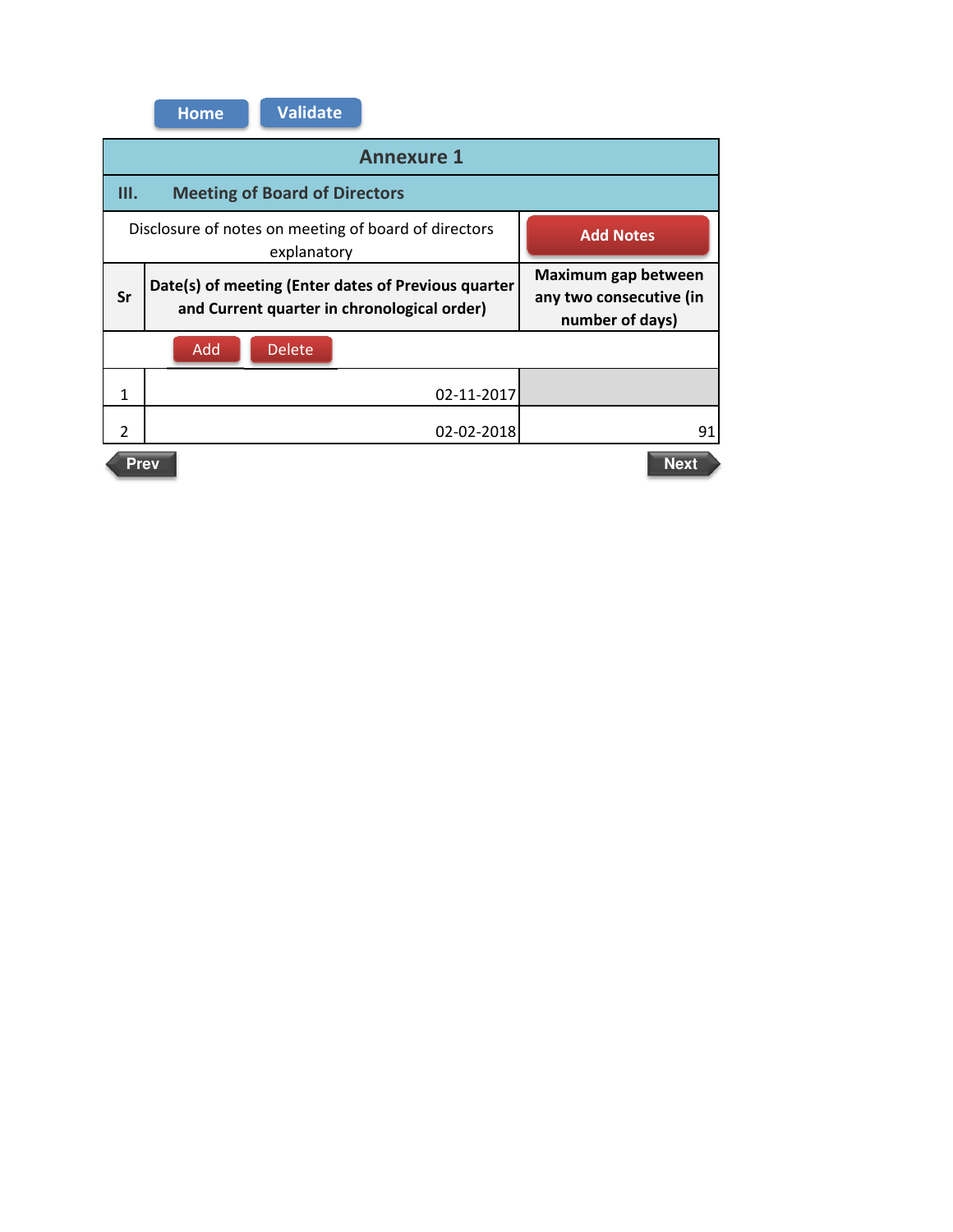|               | <b>Home</b>                                                                             | <b>Validate</b> |                                                                                                    |                                                                   |  |  |  |  |  |  |
|---------------|-----------------------------------------------------------------------------------------|-----------------|----------------------------------------------------------------------------------------------------|-------------------------------------------------------------------|--|--|--|--|--|--|
|               | <b>Annexure 1</b>                                                                       |                 |                                                                                                    |                                                                   |  |  |  |  |  |  |
| Ш.            | <b>Meeting of Board of Directors</b>                                                    |                 |                                                                                                    |                                                                   |  |  |  |  |  |  |
|               | Disclosure of notes on meeting of board of directors<br><b>Add Notes</b><br>explanatory |                 |                                                                                                    |                                                                   |  |  |  |  |  |  |
| Sr            |                                                                                         |                 | Date(s) of meeting (Enter dates of Previous quarter<br>and Current quarter in chronological order) | Maximum gap between<br>any two consecutive (in<br>number of days) |  |  |  |  |  |  |
|               | Add                                                                                     | <b>Delete</b>   |                                                                                                    |                                                                   |  |  |  |  |  |  |
| $\mathbf{1}$  |                                                                                         |                 | 02-11-2017                                                                                         |                                                                   |  |  |  |  |  |  |
| $\mathcal{P}$ |                                                                                         |                 | 02-02-2018                                                                                         | 91                                                                |  |  |  |  |  |  |
|               | <b>Prev</b>                                                                             |                 |                                                                                                    | <b>Next</b>                                                       |  |  |  |  |  |  |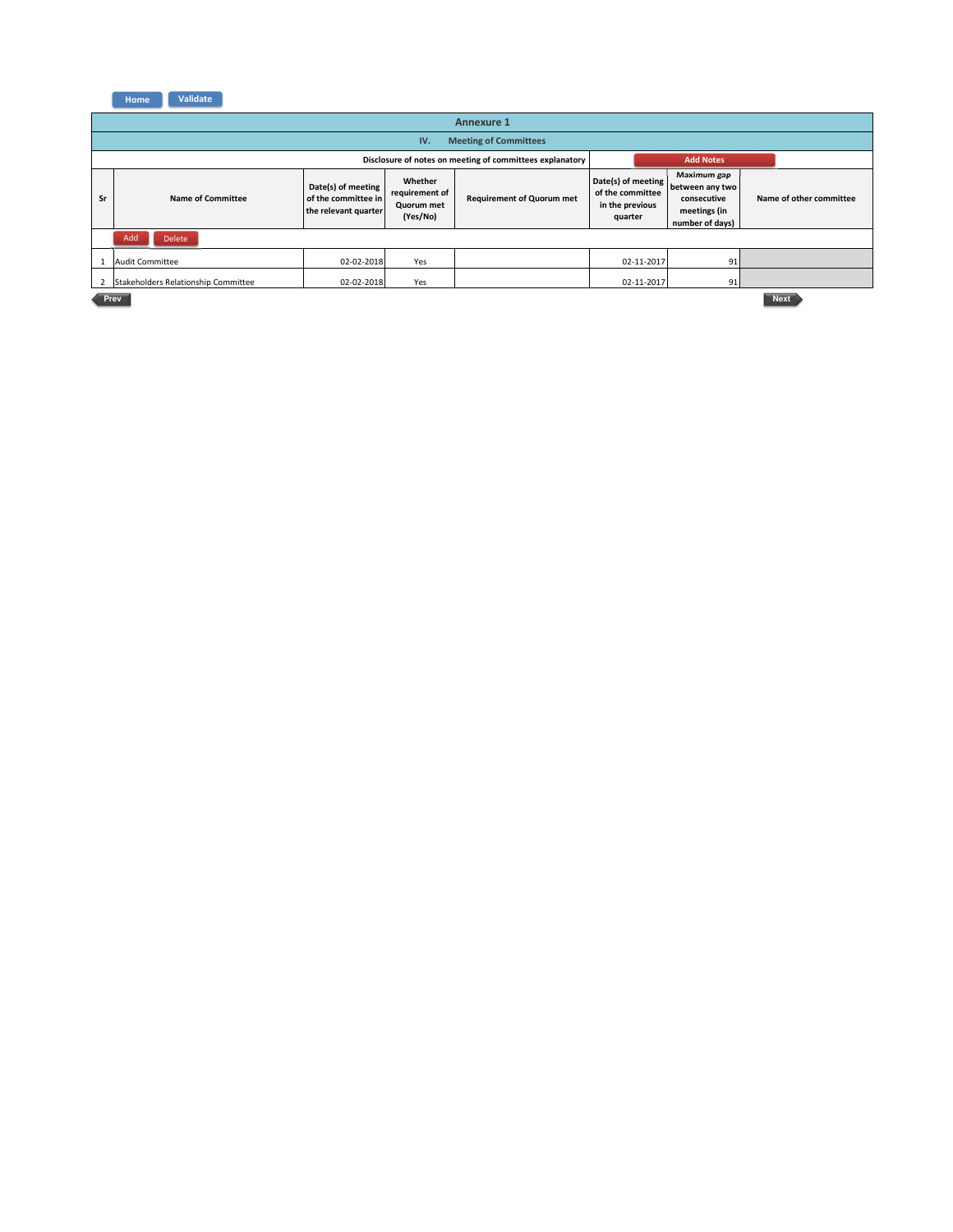**Home Validate** 

|                                                                                                                                                                                                                                                                                                                                                            | <b>Annexure 1</b>                   |            |     |                                                          |            |                         |             |  |  |  |
|------------------------------------------------------------------------------------------------------------------------------------------------------------------------------------------------------------------------------------------------------------------------------------------------------------------------------------------------------------|-------------------------------------|------------|-----|----------------------------------------------------------|------------|-------------------------|-------------|--|--|--|
|                                                                                                                                                                                                                                                                                                                                                            | <b>Meeting of Committees</b><br>IV. |            |     |                                                          |            |                         |             |  |  |  |
|                                                                                                                                                                                                                                                                                                                                                            |                                     |            |     | Disclosure of notes on meeting of committees explanatory |            | <b>Add Notes</b>        |             |  |  |  |
| <b>Maximum gap</b><br>Date(s) of meeting<br>Whether<br>between any two<br>Date(s) of meeting<br>of the committee<br>requirement of<br>of the committee in<br>Sr<br>Name of Committee<br><b>Requirement of Quorum met</b><br>consecutive<br>in the previous<br>Quorum met<br>meetings (in<br>the relevant quarter<br>(Yes/No)<br>quarter<br>number of days) |                                     |            |     |                                                          |            | Name of other committee |             |  |  |  |
|                                                                                                                                                                                                                                                                                                                                                            | Add<br><b>Delete</b>                |            |     |                                                          |            |                         |             |  |  |  |
|                                                                                                                                                                                                                                                                                                                                                            | <b>Audit Committee</b>              | 02-02-2018 | Yes |                                                          | 02-11-2017 | 91                      |             |  |  |  |
| $\overline{2}$                                                                                                                                                                                                                                                                                                                                             | Stakeholders Relationship Committee | 02-02-2018 | Yes |                                                          | 02-11-2017 | 91                      |             |  |  |  |
| Prev                                                                                                                                                                                                                                                                                                                                                       |                                     |            |     |                                                          |            |                         | <b>Next</b> |  |  |  |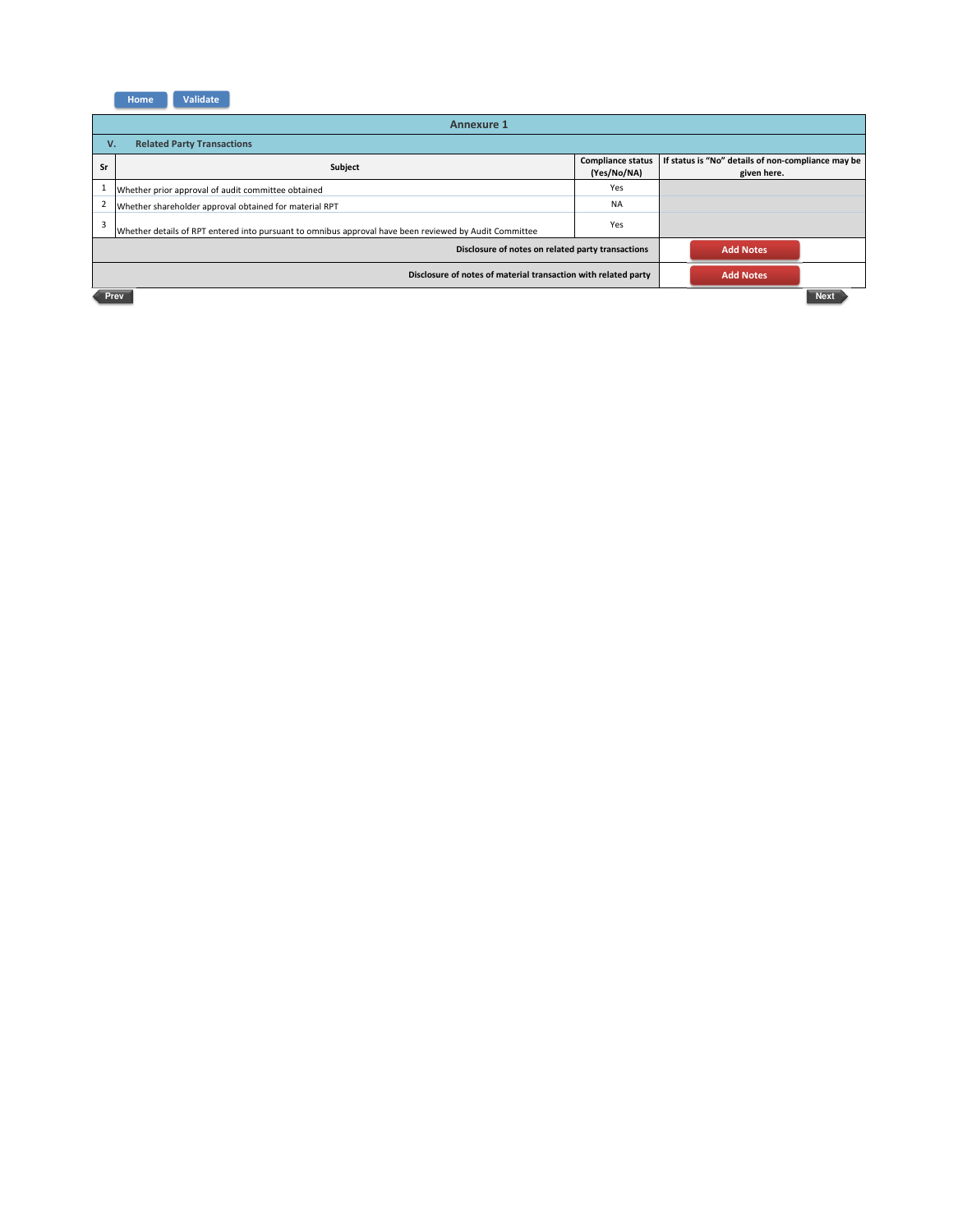

|                                         | <b>Annexure 1</b>                                                                                      |                                         |  |                                                                   |  |
|-----------------------------------------|--------------------------------------------------------------------------------------------------------|-----------------------------------------|--|-------------------------------------------------------------------|--|
| <b>Related Party Transactions</b><br>v. |                                                                                                        |                                         |  |                                                                   |  |
| Sr                                      | Subject                                                                                                | <b>Compliance status</b><br>(Yes/No/NA) |  | If status is "No" details of non-compliance may be<br>given here. |  |
|                                         | Whether prior approval of audit committee obtained                                                     | Yes                                     |  |                                                                   |  |
| $\overline{2}$                          | Whether shareholder approval obtained for material RPT                                                 | <b>NA</b>                               |  |                                                                   |  |
| 3                                       | Whether details of RPT entered into pursuant to omnibus approval have been reviewed by Audit Committee | Yes                                     |  |                                                                   |  |
|                                         | <b>Add Notes</b><br>Disclosure of notes on related party transactions                                  |                                         |  |                                                                   |  |
|                                         | Disclosure of notes of material transaction with related party<br><b>Add Notes</b>                     |                                         |  |                                                                   |  |
|                                         | <b>Next</b><br>Prev                                                                                    |                                         |  |                                                                   |  |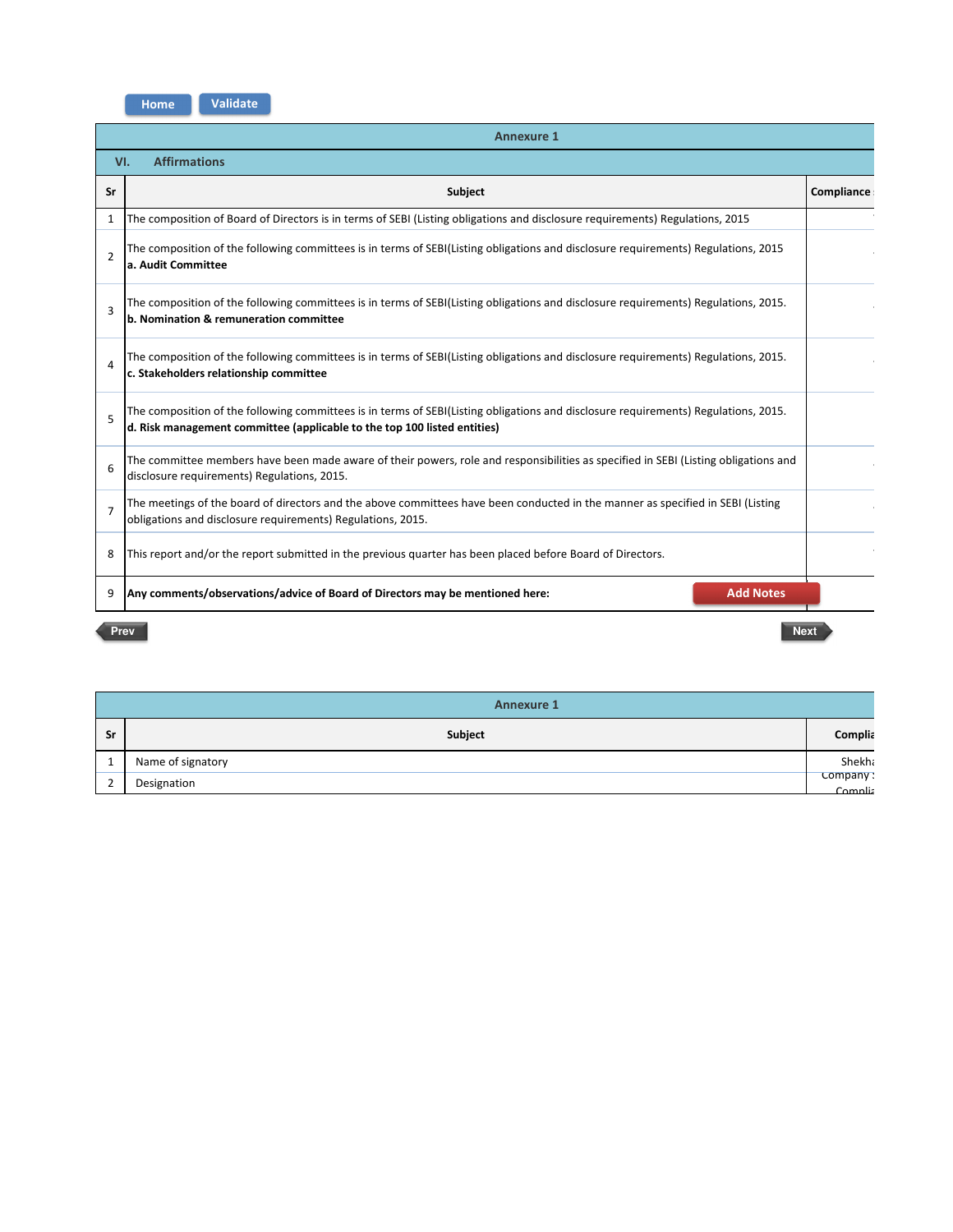| Home | <b>Validate</b> |
|------|-----------------|
|      |                 |

| <b>Annexure 1</b>          |                                                                                                                                                                                                                 |            |  |  |  |
|----------------------------|-----------------------------------------------------------------------------------------------------------------------------------------------------------------------------------------------------------------|------------|--|--|--|
| <b>Affirmations</b><br>VI. |                                                                                                                                                                                                                 |            |  |  |  |
| Sr                         | <b>Subject</b>                                                                                                                                                                                                  | Compliance |  |  |  |
| $\mathbf{1}$               | The composition of Board of Directors is in terms of SEBI (Listing obligations and disclosure requirements) Regulations, 2015                                                                                   |            |  |  |  |
| $\overline{2}$             | The composition of the following committees is in terms of SEBI(Listing obligations and disclosure requirements) Regulations, 2015<br>la. Audit Committee                                                       |            |  |  |  |
| 3                          | The composition of the following committees is in terms of SEBI(Listing obligations and disclosure requirements) Regulations, 2015.<br>b. Nomination & remuneration committee                                   |            |  |  |  |
| 4                          | The composition of the following committees is in terms of SEBI(Listing obligations and disclosure requirements) Regulations, 2015.<br>c. Stakeholders relationship committee                                   |            |  |  |  |
| 5                          | The composition of the following committees is in terms of SEBI(Listing obligations and disclosure requirements) Regulations, 2015.<br>d. Risk management committee (applicable to the top 100 listed entities) |            |  |  |  |
| 6                          | The committee members have been made aware of their powers, role and responsibilities as specified in SEBI (Listing obligations and<br>disclosure requirements) Regulations, 2015.                              |            |  |  |  |
| 7                          | The meetings of the board of directors and the above committees have been conducted in the manner as specified in SEBI (Listing<br>obligations and disclosure requirements) Regulations, 2015.                  |            |  |  |  |
| 8                          | This report and/or the report submitted in the previous quarter has been placed before Board of Directors.                                                                                                      |            |  |  |  |
| 9                          | <b>Add Notes</b><br>Any comments/observations/advice of Board of Directors may be mentioned here:                                                                                                               |            |  |  |  |
|                            | Prev<br><b>Next</b>                                                                                                                                                                                             |            |  |  |  |

| <b>Annexure 1</b> |                   |                     |  |  |
|-------------------|-------------------|---------------------|--|--|
| Sr                | Subject           | Complia             |  |  |
| 1                 | Name of signatory | Shekha              |  |  |
| $\mathcal{L}$     | Designation       | Company:<br>Complis |  |  |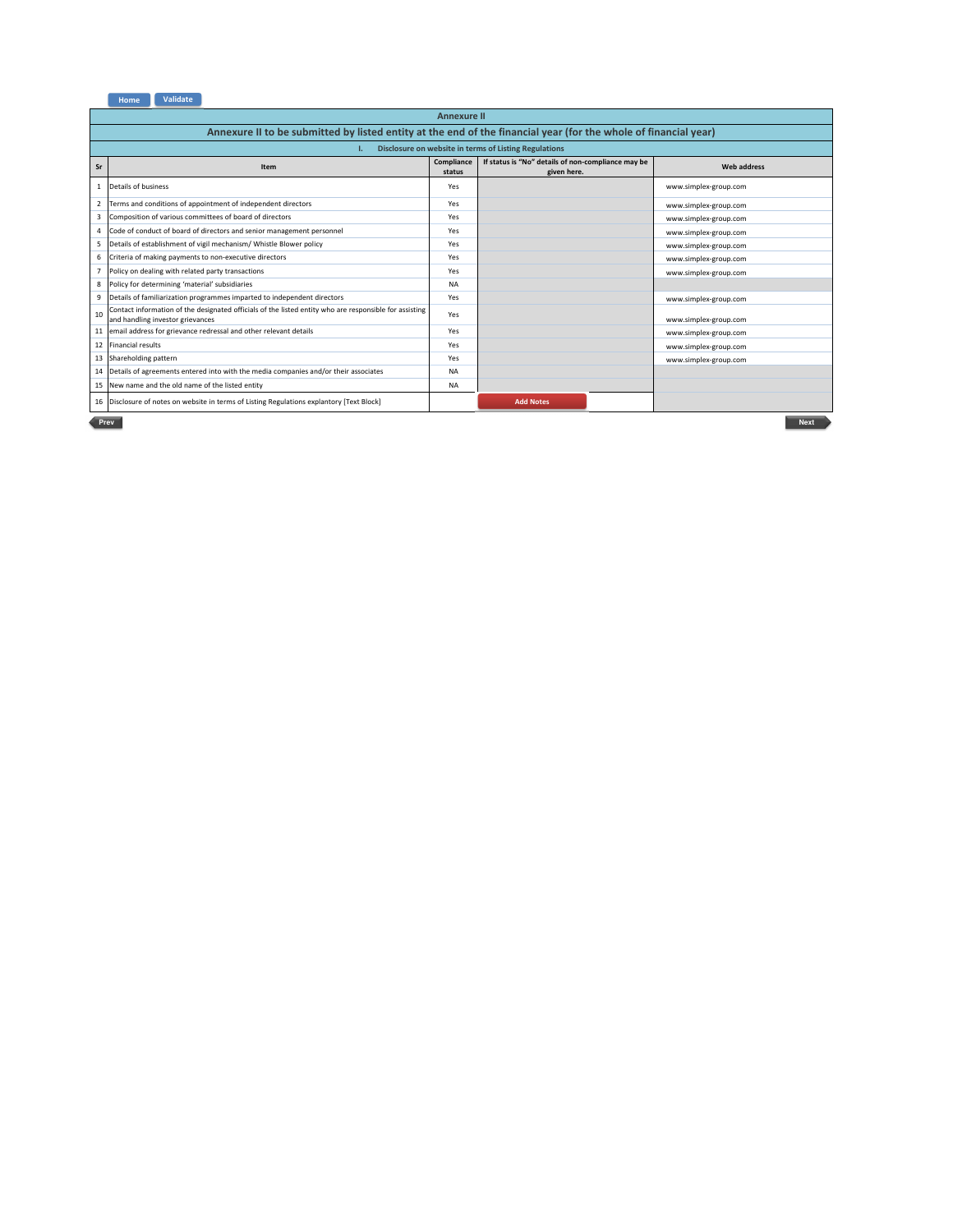

|                | <b>Annexure II</b>                                                                                                                         |                      |                                                                   |                       |  |
|----------------|--------------------------------------------------------------------------------------------------------------------------------------------|----------------------|-------------------------------------------------------------------|-----------------------|--|
|                | Annexure II to be submitted by listed entity at the end of the financial year (for the whole of financial year)                            |                      |                                                                   |                       |  |
|                |                                                                                                                                            |                      | Disclosure on website in terms of Listing Regulations             |                       |  |
| <b>Sr</b>      | Item                                                                                                                                       | Compliance<br>status | If status is "No" details of non-compliance may be<br>given here. | <b>Web address</b>    |  |
| $\mathbf{1}$   | Details of business                                                                                                                        | Yes                  |                                                                   | www.simplex-group.com |  |
| 2              | Terms and conditions of appointment of independent directors                                                                               | Yes                  |                                                                   | www.simplex-group.com |  |
| 3              | Composition of various committees of board of directors                                                                                    | Yes                  |                                                                   | www.simplex-group.com |  |
| $\overline{a}$ | Code of conduct of board of directors and senior management personnel                                                                      | Yes                  |                                                                   | www.simplex-group.com |  |
| 5              | Details of establishment of vigil mechanism/ Whistle Blower policy                                                                         | Yes                  |                                                                   | www.simplex-group.com |  |
| 6              | Criteria of making payments to non-executive directors                                                                                     | Yes                  |                                                                   | www.simplex-group.com |  |
|                | Policy on dealing with related party transactions                                                                                          | Yes                  |                                                                   | www.simplex-group.com |  |
| 8              | Policy for determining 'material' subsidiaries                                                                                             | <b>NA</b>            |                                                                   |                       |  |
| 9              | Details of familiarization programmes imparted to independent directors                                                                    | Yes                  |                                                                   | www.simplex-group.com |  |
| 10             | Contact information of the designated officials of the listed entity who are responsible for assisting<br>and handling investor grievances | Yes                  |                                                                   | www.simplex-group.com |  |
| 11             | email address for grievance redressal and other relevant details                                                                           | Yes                  |                                                                   | www.simplex-group.com |  |
|                | 12 Financial results                                                                                                                       | Yes                  |                                                                   | www.simplex-group.com |  |
| 13             | Shareholding pattern                                                                                                                       | Yes                  |                                                                   | www.simplex-group.com |  |
| 14             | Details of agreements entered into with the media companies and/or their associates                                                        | <b>NA</b>            |                                                                   |                       |  |
| 15             | New name and the old name of the listed entity                                                                                             | <b>NA</b>            |                                                                   |                       |  |
|                | 16 Disclosure of notes on website in terms of Listing Regulations explantory [Text Block]                                                  |                      | <b>Add Notes</b>                                                  |                       |  |
|                | <b>Next</b><br>Prev                                                                                                                        |                      |                                                                   |                       |  |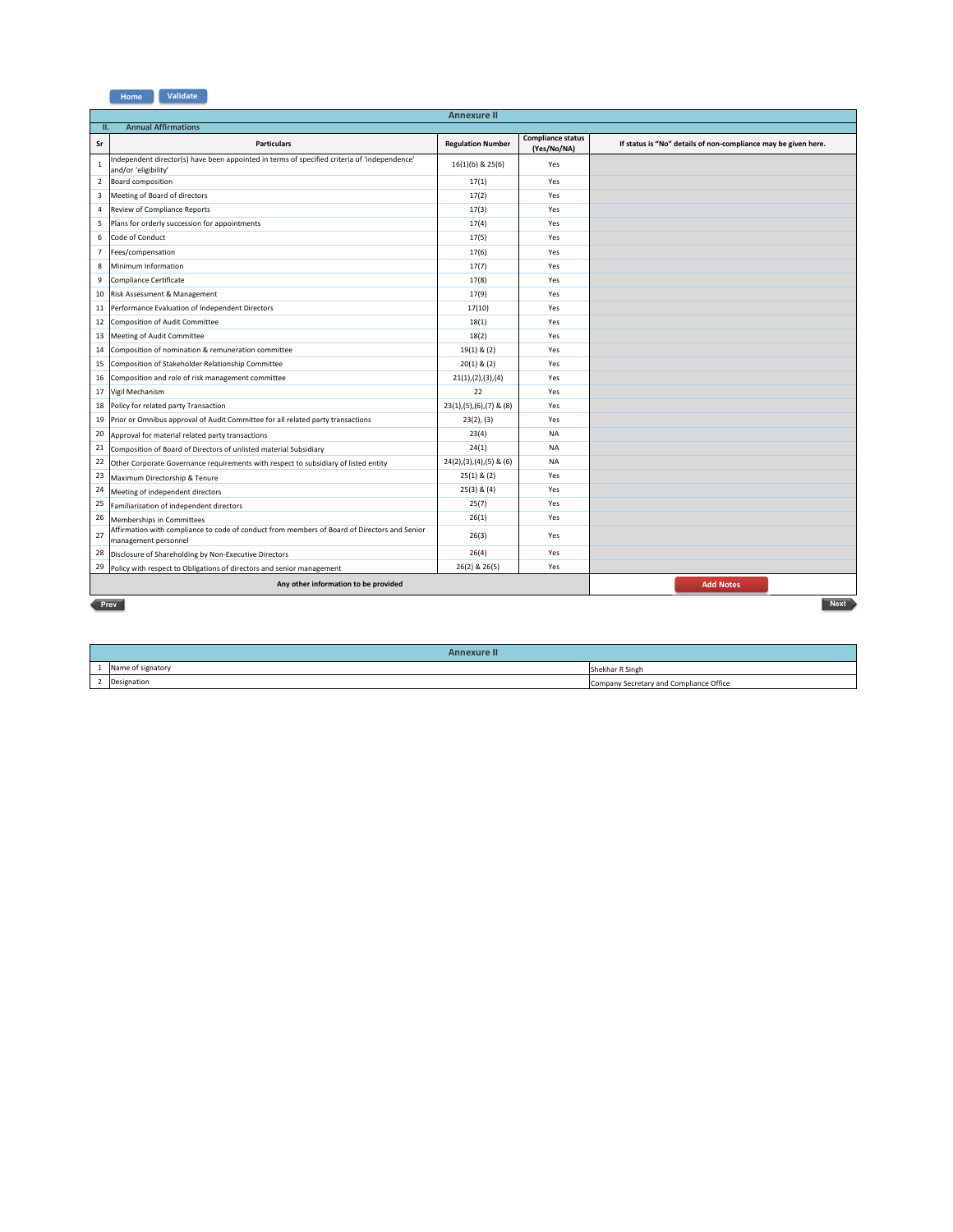

|                | <b>Annexure II</b>                                                                                                   |                              |                                         |                                                                |  |  |  |
|----------------|----------------------------------------------------------------------------------------------------------------------|------------------------------|-----------------------------------------|----------------------------------------------------------------|--|--|--|
|                | <b>Annual Affirmations</b><br>ш.                                                                                     |                              |                                         |                                                                |  |  |  |
| Sr             | <b>Particulars</b>                                                                                                   | <b>Regulation Number</b>     | <b>Compliance status</b><br>(Yes/No/NA) | If status is "No" details of non-compliance may be given here. |  |  |  |
| $\mathbf{1}$   | Independent director(s) have been appointed in terms of specified criteria of 'independence'<br>and/or 'eligibility' | $16(1)(b)$ & $25(6)$         | Yes                                     |                                                                |  |  |  |
| $\overline{2}$ | Board composition                                                                                                    | 17(1)                        | Yes                                     |                                                                |  |  |  |
| 3              | Meeting of Board of directors                                                                                        | 17(2)                        | Yes                                     |                                                                |  |  |  |
| 4              | Review of Compliance Reports                                                                                         | 17(3)                        | Yes                                     |                                                                |  |  |  |
| 5              | Plans for orderly succession for appointments                                                                        | 17(4)                        | Yes                                     |                                                                |  |  |  |
| 6              | Code of Conduct                                                                                                      | 17(5)                        | Yes                                     |                                                                |  |  |  |
| $\overline{7}$ | Fees/compensation                                                                                                    | 17(6)                        | Yes                                     |                                                                |  |  |  |
| 8              | Minimum Information                                                                                                  | 17(7)                        | Yes                                     |                                                                |  |  |  |
| 9              | Compliance Certificate                                                                                               | 17(8)                        | Yes                                     |                                                                |  |  |  |
| 10             | Risk Assessment & Management                                                                                         | 17(9)                        | Yes                                     |                                                                |  |  |  |
| 11             | Performance Evaluation of Independent Directors                                                                      | 17(10)                       | Yes                                     |                                                                |  |  |  |
| 12             | Composition of Audit Committee                                                                                       | 18(1)                        | Yes                                     |                                                                |  |  |  |
| 13             | Meeting of Audit Committee                                                                                           | 18(2)                        | Yes                                     |                                                                |  |  |  |
| 14             | Composition of nomination & remuneration committee                                                                   | $19(1)$ & $(2)$              | Yes                                     |                                                                |  |  |  |
| 15             | Composition of Stakeholder Relationship Committee                                                                    | $20(1)$ & $(2)$              | Yes                                     |                                                                |  |  |  |
| 16             | Composition and role of risk management committee                                                                    | 21(1), (2), (3), (4)         | Yes                                     |                                                                |  |  |  |
| 17             | Vigil Mechanism                                                                                                      | 22                           | Yes                                     |                                                                |  |  |  |
| 18             | Policy for related party Transaction                                                                                 | $23(1), (5), (6), (7)$ & (8) | Yes                                     |                                                                |  |  |  |
| 19             | Prior or Omnibus approval of Audit Committee for all related party transactions                                      | 23(2), (3)                   | Yes                                     |                                                                |  |  |  |
| 20             | Approval for material related party transactions                                                                     | 23(4)                        | <b>NA</b>                               |                                                                |  |  |  |
| 21             | Composition of Board of Directors of unlisted material Subsidiary                                                    | 24(1)                        | <b>NA</b>                               |                                                                |  |  |  |
| 22             | Other Corporate Governance requirements with respect to subsidiary of listed entity                                  | $24(2), (3), (4), (5)$ & (6) | <b>NA</b>                               |                                                                |  |  |  |
| 23             | Maximum Directorship & Tenure                                                                                        | $25(1)$ & $(2)$              | Yes                                     |                                                                |  |  |  |
| 24             | Meeting of independent directors                                                                                     | $25(3)$ & $(4)$              | Yes                                     |                                                                |  |  |  |
| 25             | Familiarization of independent directors                                                                             | 25(7)                        | Yes                                     |                                                                |  |  |  |
| 26             | Memberships in Committees                                                                                            | 26(1)                        | Yes                                     |                                                                |  |  |  |
| 27             | Affirmation with compliance to code of conduct from members of Board of Directors and Senior<br>management personnel | 26(3)                        | Yes                                     |                                                                |  |  |  |
| 28             | Disclosure of Shareholding by Non-Executive Directors                                                                | 26(4)                        | Yes                                     |                                                                |  |  |  |
| 29             | Policy with respect to Obligations of directors and senior management                                                | 26(2) & 26(5)                | Yes                                     |                                                                |  |  |  |
|                | Any other information to be provided                                                                                 |                              |                                         | <b>Add Notes</b>                                               |  |  |  |
|                | <b>Next</b><br>Prev                                                                                                  |                              |                                         |                                                                |  |  |  |

| Annexure II       |                                         |
|-------------------|-----------------------------------------|
| Name of signatory | Shekhar R Singh                         |
| 2 Designation     | Company Secretary and Compliance Office |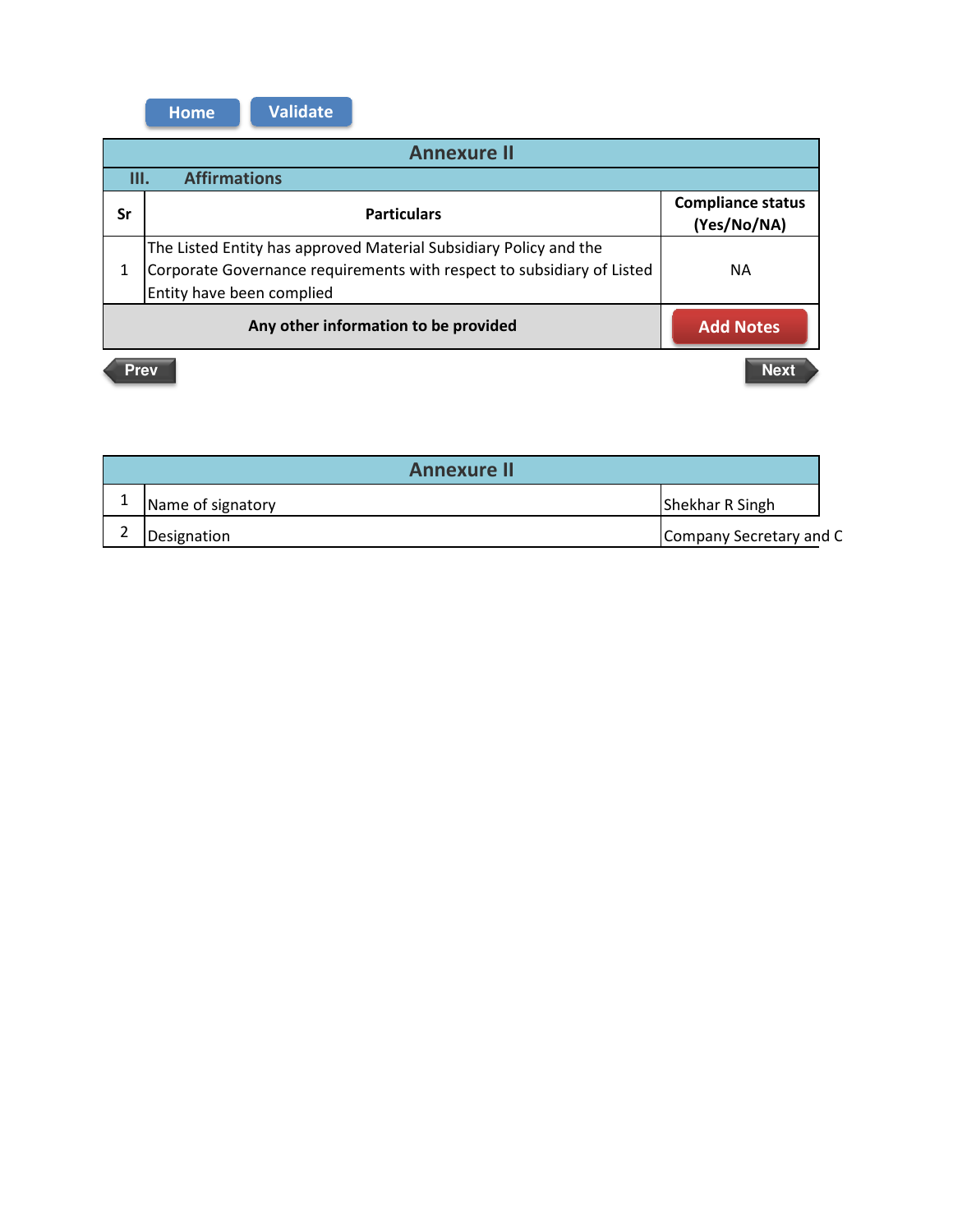**Home Validate** 

| <b>Annexure II</b>                                       |                                                                                                                                                                          |                                         |  |  |  |
|----------------------------------------------------------|--------------------------------------------------------------------------------------------------------------------------------------------------------------------------|-----------------------------------------|--|--|--|
|                                                          | <b>Affirmations</b><br>Ш.                                                                                                                                                |                                         |  |  |  |
| Sr                                                       | <b>Particulars</b>                                                                                                                                                       | <b>Compliance status</b><br>(Yes/No/NA) |  |  |  |
| 1                                                        | The Listed Entity has approved Material Subsidiary Policy and the<br>Corporate Governance requirements with respect to subsidiary of Listed<br>Entity have been complied | <b>NA</b>                               |  |  |  |
| Any other information to be provided<br><b>Add Notes</b> |                                                                                                                                                                          |                                         |  |  |  |
|                                                          | <b>Next</b><br><b>Prev</b>                                                                                                                                               |                                         |  |  |  |

| <b>Annexure II</b> |                         |
|--------------------|-------------------------|
| Name of signatory  | Shekhar R Singh         |
| Designation        | Company Secretary and C |